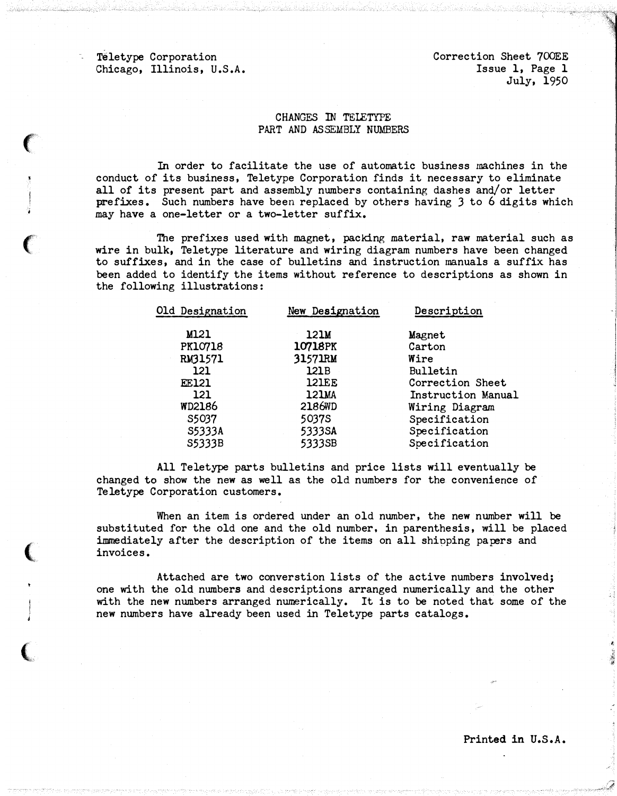Teletype Corporation Chicago, Illinois, U.S.A.

 $\epsilon$ 

 $\big($ 

 $\big($ 

 $\big($ 

Correction Sheet 700EE Issue 1, Page 1 July, 1950

## CHANGES IN TELETYPE PART AND ASSEMBLY NUMBERS

In order to facilitate the use of automatic business machines in the conduct of its business, Teletype Corporation finds it necessary to eliminate all of its present part and assembly numbers containing dashes and/or letter prefixes. Such numbers have been replaced by others having 3 to 6 digits which may have a one-letter or a two-letter suffix.

The prefixes used with magnet, packing material, raw material such as wire in bulk, Teletype literature and wiring diagram numbers have been changed to suffixes, and in the case of bulletins and instruction manuals a suffix has been added to identify the items without reference to descriptions as shown in the following illustrations:

| Old Designation | New Designation | Description        |
|-----------------|-----------------|--------------------|
| M121            | 121M            | Magnet             |
| <b>PK10718</b>  | <b>10718PK</b>  | Carton             |
| RM31571         | 31571RM         | Wire               |
| 121             | 121B            | Bulletin           |
| <b>EE121</b>    | <b>121EE</b>    | Correction Sheet   |
| 121             | 121MA           | Instruction Manual |
| <b>WD2186</b>   | 2186WD          | Wiring Diagram     |
| S5037           | 5037S           | Specification      |
| S5333A          | 5333SA          | Specification      |
| S5333B          | 5333SB          | Specification      |
|                 |                 |                    |

All Teletype parts bulletins and price lists will eventually be changed to show the new as well as the old numbers for the convenience of Teletype Corporation customers.

When an item is ordered under an old number, the new number will be substituted for the old one and the old number, in parenthesis, will be placed immediately after the description of the items on all shinping papers and invoices.

Attached are two converstion lists of the active numbers involved; one with the old numbers and descriptions arranged numerically and the other with the new numbers arranged numerically. It is to be noted that some of the new numbers have already been used in Teletype parts catalogs.

Printed in U.S.A.

t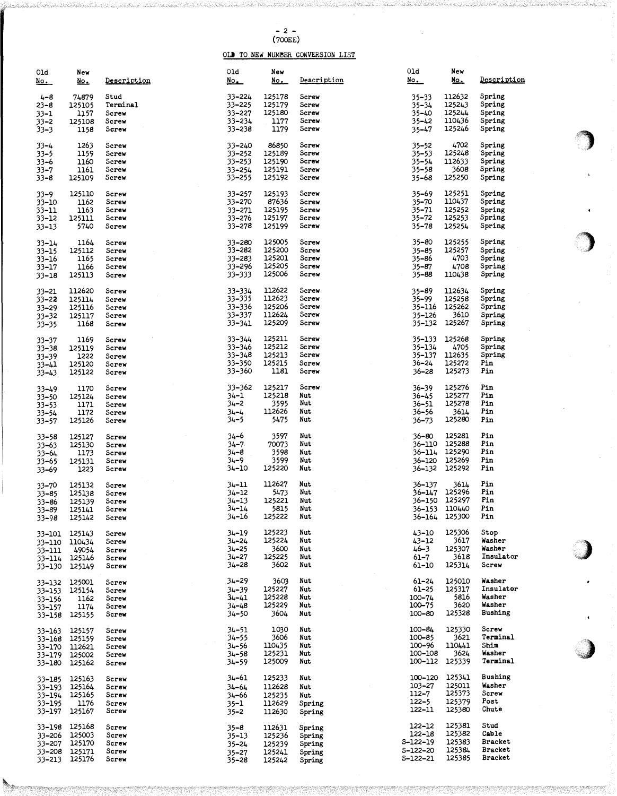## - 2 - (700EE)

## OLD TO NEW NUMBER CONVERSION LIST

| 01d<br><u>No.</u>                                         | New<br><u>No.</u>                              | Description                                 | 01d<br>$N_{\odot}$                             | New<br><u>No. </u>                             | <b>Description</b>                             | 01d<br><u>No. </u>                                        | New<br><u>No.</u>                                          | Description                                           |           |
|-----------------------------------------------------------|------------------------------------------------|---------------------------------------------|------------------------------------------------|------------------------------------------------|------------------------------------------------|-----------------------------------------------------------|------------------------------------------------------------|-------------------------------------------------------|-----------|
| $4 - 8$<br>$23 - 8$<br>$33 - 1$<br>$33 - 2$<br>$33 - 3$   | 74879<br>125105<br>1157<br>125108<br>1158      | Stud<br>Terminal<br>Screw<br>Screw<br>Screw | 33–224<br>33-225<br>33–227<br>33-234<br>33–238 | 125178<br>125179<br>125180<br>1177<br>1179     | Screw<br>Screw<br>Screw<br>Screw<br>Screw      | 35–33<br>$35 - 34$<br>$35 - 40$<br>35–42<br>35–47         | 112632<br>125243<br>125244<br>110436<br>125246             | Spring<br>Spring<br>Spring<br>Spring<br>Spring        |           |
| $33 - 4$<br>$33 - 5$<br>$33 - 6$<br>$33 - 7$<br>$33 - 8$  | 1263<br>1159<br>1160<br>1161<br>125109         | Screw<br>Screw<br>Screw<br>Screw<br>Screw   | 33–240<br>33–252<br>33–253<br>33-254<br>33–255 | 86850<br>125189<br>125190<br>125191<br>125192  | Screw<br>Screw<br>Screw<br>Screw<br>Screw      | $35 - 52$<br>$35 - 53$<br>$35 - 54$<br>35–58<br>$35 - 68$ | 4702<br>125248<br>112633<br>3608<br>125250                 | Spring<br>Spring<br>Spring<br>Spring<br>Spring        |           |
| $33 - 9$<br>33–10<br>$33 - 11$<br>33–12<br>$33 - 13$      | 125110<br>1162<br>1163<br>125111<br>5740       | Screw<br>Screw<br>Screw<br>Screw<br>Screw   | 33-257<br>33-270<br>33–271<br>33–276<br>33–278 | 125193<br>87636<br>125195<br>125197<br>125199  | Screw<br>Screw<br>Screw<br>Screw<br>Screw      | 35–69<br>35-70<br>35–71<br>$35 - 72$<br>$35 - 78$         | 125251<br>110437<br>125252<br>125253<br>125254             | Spring<br>Spring<br>Spring<br>Spring<br>Spring        | $\bullet$ |
| 33–14<br>33–15<br>33–16<br>33–17<br>$33 - 18$             | 1164<br>125112<br>1165<br>1166<br>125113       | Screw<br>Screw<br>Screw<br>Screw<br>Screw   | 33–280<br>33-282<br>33–283<br>33-296<br>33–333 | 125005<br>125200<br>125201<br>125205<br>125006 | Screw<br>Screw<br>Screw<br>Screw<br>Screw      | $35 - 80$<br>$35 - 85$<br>35–86<br>$35 - 87$<br>35–88     | 125255<br>125257<br>4703<br>4708<br>110438                 | Spring<br>Spring<br>Spring<br>Spring<br>Spring        |           |
| $33 - 21$<br>$33 - 22$<br>33–29<br>$33 - 32$<br>$33 - 35$ | 112620<br>125114<br>125116<br>125117<br>1168   | Screw<br>Screw<br>Screw<br>Screw<br>Screw   | 33-334<br>33-335<br>33–336<br>33-337<br>33–341 | 112622<br>112623<br>125206<br>112624<br>125209 | Screw<br>Screw<br>Screw<br>Screw<br>Screw      | 35-89<br>35–99<br>35–116<br>35-126<br>35–132              | 112634<br>125258<br>125262<br>3610<br>125267               | Spring<br>Spring<br>Spring<br>Spring<br>Spring        |           |
| $33 - 37$<br>$33 - 38$<br>$33 - 39$<br>33–41<br>$33 - 43$ | 1169<br>125119<br>1222<br>125120<br>125122     | Screw<br>Screw<br>Screw<br>Screw<br>Screw   | 33-344<br>33–346<br>33-348<br>33–350<br>33-360 | 125211<br>125212<br>125213<br>125215<br>1181   | Screw<br>Screw<br>Screw<br>Screw<br>Screw      | 35–133<br>35–134<br>35–137<br>$36 - 24$<br>36–28          | 125268<br>4705<br>112635<br>125272<br>125273               | Spring<br>Spring<br>Spring<br>Pin<br>Pin              |           |
| 33–49<br>$33 - 50$<br>$33 - 53$<br>33–54<br>$33 - 57$     | 1170<br>125124<br>1171<br>1172<br>125126       | Screw<br>Screw<br>Screw<br>Screw<br>Screw   | 33–362<br>$34 - 1$<br>34–2<br>$34 - 4$<br>34–5 | 125217<br>125218<br>3595<br>112626<br>5475     | Screw<br>Nut<br>Nut<br>Nut<br>Nut              | 36–39<br>36–45<br>36–51<br>36–56<br>$36 - 73$             | 125276<br>125277<br>125278<br>3614<br>125260               | Pin<br>Pin<br>Pin<br>Pin<br>Pin                       |           |
| 33–58<br>33–63<br>33–64<br>33–65<br>$33 - 69$             | 125127<br>125130<br>1173<br>125131<br>1223     | Screw<br>Screw<br>Screw<br>Screw<br>Screw   | 34–6<br>$34 - 7$<br>34–8<br>34–9<br>34–10      | 3597<br>70073<br>3598<br>3599<br>125220        | Nut<br>Nut<br>Nut<br>Nut<br>Nut                | $36 - 60$<br>36-110<br>36–114<br>36-120<br>36–132         | 125281<br>125288<br>125290<br>125269<br>125292             | Pin<br>Pin<br>Pin<br>Pin<br>Pin                       |           |
| 33–70<br>33-85<br>33-86<br>$33 - 89$<br>33–98             | 125132<br>125138<br>125139<br>125141<br>125142 | Screw<br>Screw<br>Screw<br>Screw<br>Screw   | 34-11<br>34–12<br>34–13<br>34–14<br>$34 - 16$  | 112627<br>5473<br>125221<br>5815<br>125222     | Nut<br>Nut<br>Nut<br>Nut<br>Nut                | 36-137<br>$36 - 147$<br>36–150                            | 3614<br>125296<br>125297<br>36-153 110440<br>36-164 125300 | Pin<br>Pin<br>Pin<br>Pin<br>Pin                       |           |
| 33–101<br>33–110<br>33–111<br>33-114<br>33–130            | 125143<br>110434<br>49054<br>125146<br>125149  | Screw<br>Screw<br>Screw<br>Screw<br>Screw   | 34-19<br>34–24<br>34–25<br>34–27<br>34–28      | 125223<br>125224<br>3600<br>125225<br>3602     | Nut<br>Nut<br>Nut<br>Nut<br>Nut                | 43-10<br>43–12<br>$46 - 3$<br>$61 - 7$<br>61-10           | 125306<br>3617<br>125307<br>3618<br>125314                 | Stop<br>Washer<br>Washer<br>Insulator<br>Screw        |           |
| 33-132 125001<br>33–153<br>33-156<br>33-157<br>33-158     | 125154<br>1162<br>1174<br>125155               | Screw<br>Screw<br>Screw<br>Screw<br>Screw   | $34 - 29$<br>34–39<br>34–41<br>34-48<br>34–50  | 3603<br>125227<br>125228<br>125229<br>3604     | Nut<br>Nut<br>Nut<br>Nut<br>Nut                | $61 - 24$<br>$61 - 25$<br>100-74<br>100-75<br>$100 - 80$  | 125010<br>125317<br>5816<br>3620<br>125328                 | Washer<br>Insulator<br>Washer<br>Washer<br>Bushing    | $\bullet$ |
| 33–163<br>33–168<br>33–170<br>33–179<br>33–180            | 125157<br>125159<br>112621<br>125002<br>125162 | Screw<br>Screw<br>Screw<br>Screw<br>Screw   | 34–51<br>$34 - 55$<br>34–56<br>34–58<br>34–59  | 1030<br>3606<br>110435<br>125231<br>125009     | Nut<br>Nut<br>Nut<br>Nut<br>Nut                | $100 - 84$<br>100-85<br>$100 - 96$<br>100-108<br>100-112  | 125330<br>3621<br>110441<br>3624<br>125339                 | Screw<br>Terminal<br>Shim<br>Washer<br>Terminal       |           |
| 33–185<br>33–193<br>33-194<br>33–195<br>33-197            | 125163<br>125164<br>125165<br>1176<br>125167   | Screw<br>Screw<br>Screw<br>Screw<br>Screw   | 34-61<br>34–64<br>34–66<br>35–1<br>$35 - 2$    | 125233<br>112628<br>125235<br>112629<br>112630 | Nut<br>Nut<br>Nut<br>Spring<br>Spring          | 100-120<br>$103 - 27$<br>$112 - 7$<br>$122 - 5$<br>122-11 | 125341<br>125011<br>125373<br>125379<br>125360             | Bushing<br>Washer<br>Screw<br>Post<br>Chute           |           |
| 33-198<br>33-206<br>33–207<br>33–208<br>33-213            | 125168<br>125003<br>125170<br>125171<br>125176 | Screw<br>Screw<br>Screw<br>Screw<br>Screw   | 35–8<br>35–13<br>35–24<br>35–27<br>$35 - 28$   | 112631<br>125236<br>125239<br>125241<br>125242 | Spring<br>Spring<br>Spring<br>Spring<br>Spring | 122-12<br>122-18<br>S-122-19<br>S-122-20<br>S-122-21      | 125381<br>125382<br>125383<br>125384<br>125385             | Stud<br>Cable<br><b>Bracket</b><br>Bracket<br>Bracket |           |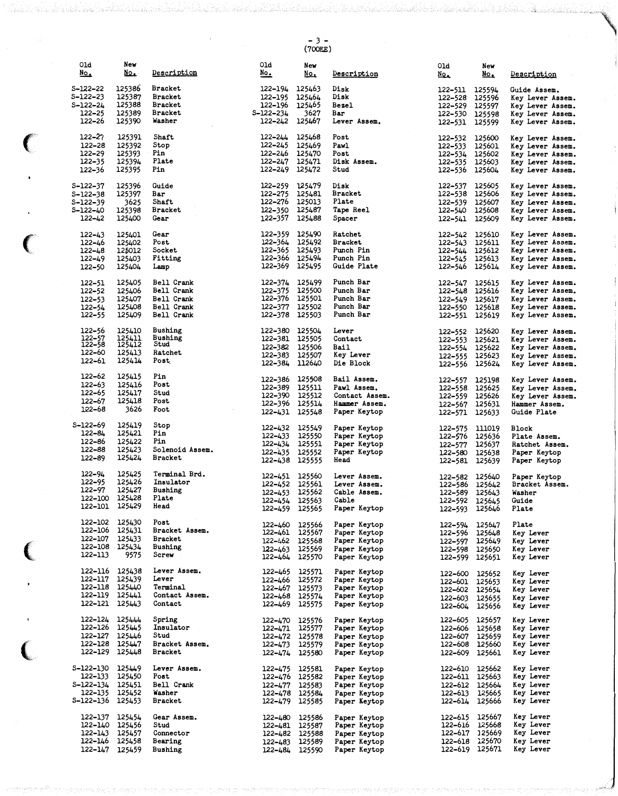- 3 - ( 700EE)

 $\bar{\bar{z}}$ 

| 01d<br><u>No.</u>      | New<br><u>No.</u> | Description                      | 01d<br>No.                | New<br>$\underline{No}$  | Description                  | 01d<br><u>No.</u>         | New<br><u>No.</u>        | Description                          |
|------------------------|-------------------|----------------------------------|---------------------------|--------------------------|------------------------------|---------------------------|--------------------------|--------------------------------------|
| $S - 122 - 22$         | 125386            | <b>Bracket</b>                   | 122-194 125463            |                          | Disk                         | 122–511                   | 125594                   | Guide Assem.                         |
| S-122-23               | 125387            | <b>Bracket</b>                   | 122–195                   | 125464                   | Disk                         | 122–528                   | 125596                   | Key Lever Assem.                     |
| S-122-24               | 125388            | <b>Bracket</b>                   | 122–196                   | 125465                   | Bezel                        | 122–529                   | 125597                   | Key Lever Assem.                     |
| $122 - 25$<br>122-26   | 125389<br>125390  | <b>Bracket</b><br>Washer         | S-122-234<br>122-242      | 3627<br>125467           | Bar<br>Lever Assem.          | 122-531 125599            | 122-530 125598           | Key Lever Assem.<br>Key Lever Assem. |
|                        |                   |                                  |                           |                          |                              |                           |                          |                                      |
| 122–27                 | 125391            | Shaft                            | 122-244                   | 125468                   | Post                         | 122-532 125600            |                          | Key Lever Assem.                     |
| 122-28<br>122-29       | 125392<br>125393  | Stop<br>Pin                      | $122 - 245$<br>122–246    | 125469<br>125470         | Pawl<br>Post                 | 122-533                   | 125601                   | Key Lever Assem.                     |
| 122–35                 | 125394            | Plate                            | 122–247                   | 125471                   | Disk Assem.                  | 122-534 125602<br>122–535 | 125603                   | Key Lever Assem.<br>Key Lever Assem. |
| 122–36                 | 125395            | Pin                              | 122-249 125472            |                          | Stud                         | 122–536                   | 125604                   | Key Lever Assem.                     |
| S-122-37               | 125396            | Guide                            | 122–259                   | 125479                   | Disk                         | 122-537                   | 125605                   | Key Lever Assem.                     |
| $S - 122 - 38$         | 125397            | Bar                              | 122-275                   | 125481                   | <b>Bracket</b>               | 122–538                   | 125606                   | Key Lever Assem.                     |
| S-122-39               | 3625              | Shaft                            | 122-276                   | 125013                   | Plate                        | 122–539                   | 125607                   | Key Lever Assem.                     |
| S-122-40<br>$122 - 42$ | 125398<br>125400  | Bracket<br>Gear                  | 122–350<br>122–357        | 125487<br>125488         | Tape Reel<br>Spacer          | 122–540                   | 125608<br>125609         | Key Lever Assem.<br>Key Lever Assem. |
|                        |                   |                                  |                           |                          |                              | 122–541                   |                          |                                      |
| $122 - 43$             | 125401            | Gear                             | 122-359 125490            |                          | Ratchet                      | 122-542                   | 125610                   | Key Lever Assem.                     |
| $122 - 46$             | 125402            | Post<br>Socket                   | 122–364<br>122–365        | 125492<br>125493         | <b>Bracket</b><br>Punch Pin  | 122-543                   | 125611                   | Key Lever Assem.                     |
| 122–48<br>$122 - 49$   | 125012<br>125403  | Fitting                          | 122–366 125494            |                          | Punch Pin                    | 122–544<br>122-545        | 125612<br>125613         | Key Lever Assem.<br>Key Lever Assem. |
| 122-50                 | 125404            | Lamp                             | 122-369 125495            |                          | Guide Plate                  | 122–546                   | 125614                   | Key Lever Assem.                     |
| 122-51                 | 125405            | Bell Crank                       | 122-374 125499            |                          | Punch Bar                    | 122–547                   | 125615                   | Key Lever Assem.                     |
| 122–52                 | 125406            | Bell Crank                       | 122-375                   | 125500                   | Punch Bar                    | 122-548                   | 125616                   | Key Lever Assem.                     |
| $122 - 53$             | 125407            | Bell Crank                       | 122–376 125501            |                          | Punch Bar                    | 122-549                   | 125617                   | Key Lever Assem.                     |
| $122 - 54$             | 125408            | Bell Crank                       | 122-377 125502            |                          | Punch Bar                    | 122-550                   | 125618                   | Key Lever Assem.                     |
| 122-55                 | 125409            | Bell Crank                       | 122-378 125503            |                          | Punch Bar                    | 122-551                   | 125619                   | Key Lever Assem.                     |
| 122–56                 | 125410            | Bushing                          | 122-380 125504            |                          | Lever                        | 122–552                   | 125620                   | Key Lever Assem.                     |
| 122–57<br>122–58       | 125411<br>125412  | Bushing<br>Stud                  | 122-381 125505            |                          | Contact                      | 122–553                   | 125621                   | Key Lever Assem.                     |
| 122–60                 | 125413            | Ratchet                          | 122–382<br>122–383        | 125506<br>125507         | Bail<br>Key Lever            | 122-554<br>122-555        | 125622<br>125623         | Key Lever Assem.<br>Key Lever Assem. |
| 122–61                 | 125414            | Post.                            | 122-384 112640            |                          | Die Block                    | 122–556                   | 125624                   | Key Lever Assem.                     |
| 122–62                 | 125415            | Pin                              |                           |                          |                              |                           |                          |                                      |
| 122–63                 | 125416            | Post                             | 122–386<br>122–389        | 125508<br>125511         | Bail Assem.<br>Pawl Assem.   | 122–557<br>122-558        | 125198<br>125625         | Key Lever Assem.<br>Key Lever Assem. |
| 122–65                 | 125417            | Stud                             | 122–390                   | 125512                   | Contact Assem.               | 122-559                   | 125626                   | Key Lever Assem.                     |
| 122–67<br>122–68       | 125418<br>3626    | Post<br>Foot                     | 122-396 125514            |                          | Hammer Assem.                | 122–567                   | 125631                   | Hammer Assem.                        |
|                        |                   |                                  | 122-431 125548            |                          | Paper Keytop                 |                           | 122-571 125633           | Guide Plate                          |
| S-122-69               | 125419            | Stop                             | 122–432                   | 125549                   | Paper Keytop                 | 122-575                   | 111019                   | <b>Block</b>                         |
| 122-84<br>122-86       | 125421<br>125422  | Pin<br>Pin                       | 122–433                   | 125550                   | Paper Keytop                 | 122–576                   | 125636                   | Plate Assem.                         |
| 122-88                 | 125423            | Solenoid Assem.                  | 122–434<br>$122 - 435$    | 125551<br>125552         | Paper Keytop<br>Paper Keytop | 122-577<br>122-580        | 125637<br>125638         | Ratchet Assem.<br>Paper Keytop       |
| 122-89                 | 125424            | Bracket                          | 122-438 125555            |                          | Head                         |                           | 122-581 125639           | Paper Keytop                         |
| $122 - 94$             | 125425            | Terminal Brd.                    |                           |                          |                              |                           |                          |                                      |
| 122–95                 | 125426            | Insulator                        | 122-451 125560<br>122-452 | 125561                   | Lever Assem.<br>Lever Assem. | 122–582<br>122-586        | 125640<br>125642         | Paper Keytop<br>Bracket Assem.       |
| 122-97                 | 125427            | Bushing                          | $122 - 453$               | 125562                   | Cable Assem.                 | 122–589                   | 125643                   | Washer                               |
| 122-100<br>122-101     | 125428<br>125429  | Plate<br>Head                    | 122-454 125563            |                          | Cable                        | 122-592                   | 125645                   | Guide                                |
|                        |                   |                                  |                           | 122–459 125565           | Paper Keytop                 | 122–593                   | 125646                   | Plate                                |
| 122–102                | 125430            | Post                             |                           | 122-460 125566           | Paper Keytop                 | 122-594                   | 125647                   | Plate                                |
| 122–106<br>122-107     | 125431<br>125433  | Bracket Assem.<br><b>Bracket</b> |                           | 122-461 125567           | Paper Keytop                 | 122–596                   | 125648                   | Key Lever                            |
| 122-108 125434         |                   | Bushing                          | $122 - 463$               | 122-462 125568<br>125569 | Paper Keytop<br>Paper Keytop | 122-597<br>122–598        | 125649<br>125650         | Key Lever<br>Key Lever               |
| 122-113                | 9575              | Screw                            | 122-464 125570            |                          | Paper Keytop                 | 122–599                   | 125651                   | Key Lever                            |
| 122-116 125438         |                   | Lever Assem.                     | 122–465                   | 125571                   | Paper Keytop                 |                           | 125652                   |                                      |
| 122–117                | 125439            | Lever                            | 122–466                   | 125572                   | Paper Keytop                 | 122–600<br>122–601        | 125653                   | Key Lever<br>Key Lever               |
| 122–118                | 125440            | Terminal                         |                           | 122-467 125573           | Paper Keytop                 | 122–602                   | 125654                   | Key Lever                            |
| 122–119                | 125441            | Contact Assem.<br>Contact        |                           | 122-468 125574           | Paper Keytop                 | 122–603                   | 125655                   | Key Lever                            |
| 122-121 125443         |                   |                                  |                           | 122-469 125575           | Paper Keytop                 | 122–604                   | 125656                   | Key Lever                            |
| 122–124                | 125444            | Spring                           |                           | 122-470 125576           | Paper Keytop                 | 122–605                   | 125657                   | Key Lever                            |
| 122–126<br>122–127     | 125445<br>125446  | Insulator<br>Stud                |                           | 122-471 125577           | Paper Keytop                 | 122–606<br>122–607        | 125658<br>125659         | Key Lever<br>Key Lever               |
| 122-128 125447         |                   | Bracket Assem.                   | 122–473                   | 122-472 125578<br>125579 | Paper Keytop<br>Paper Keytop | 122–608                   | 125660                   | Key Lever                            |
| 122-129 125448         |                   | <b>Bracket</b>                   | 122–474                   | 125580                   | Paper Keytop                 | 122–609                   | 125661                   | Key Lever                            |
| S-122-130              | 125449            | Lever Assem.                     | 122–475                   | 125581                   | Paper Keytop                 | 122–610                   | 125662                   | Key Lever                            |
| 122–133                | 125450            | Post                             |                           | 122-476 125582           | Paper Keytop                 |                           | 122-611 125663           | Key Lever                            |
| S-122-134              | 125451            | Bell Crank                       | 122–477                   | 125583                   | Paper Keytop                 | 122–612                   | 125664                   | Key Lever                            |
| 122–135                | 125452            | Washer                           |                           | 122-478 125584           | Paper Keytop                 | 122–613                   | 125665                   | Key Lever                            |
| S-122-136 125453       |                   | <b>Bracket</b>                   |                           | 122-479 125585           | Paper Keytop                 | 122–614                   | 125666                   | Key Lever                            |
| 122–137                | 125454            | Gear Assem.                      |                           | 122-480 125586           | Paper Keytop                 | 122–615                   | 125667                   | Key Lever                            |
| 122–140                | 125456            | Stud<br>Connector                | 122–481                   | 125587                   | Paper Keytop                 | 122–616                   | 125668<br>122-617 125669 | Key Lever<br>Key Lever               |
| 122-143<br>122-146     | 125457<br>125458  | Bearing                          | 122–483                   | 122-482 125588<br>125589 | Paper Keytop<br>Paper Keytop | 122–618                   | 125670                   | Key Lever                            |
| 122–147                | 125459            | Bushing                          | 122–484                   | 125590                   | Paper Keytop                 |                           | 122-619 125671           | Key Lever                            |

 $\bigg($ 

 $\ddot{\phantom{0}}$ 

 $\ddot{\phantom{0}}$ 

 $\overline{C}$ 

 $\big($ 

 $\big($ 

l,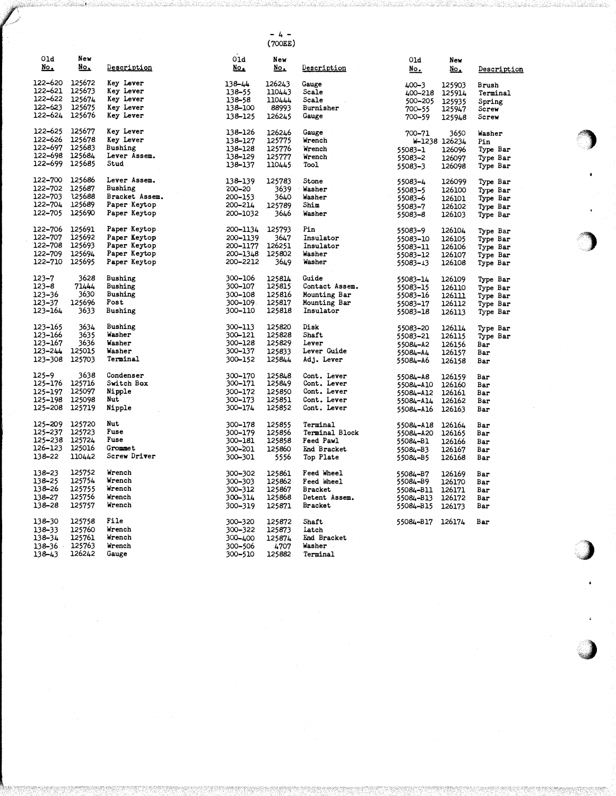- 4 - (700EE)

 $\bigcirc$ 

\*\*)

)

 $\rightarrow$ 

vt

| 01d<br><u>No.</u> | New<br><u>No,</u> | Description        | 01d<br><u>No.</u> | New<br><u>No.</u> | Description    | 01d<br><u>No.</u>    | New<br>$\underline{\text{No}}$ . | Description |
|-------------------|-------------------|--------------------|-------------------|-------------------|----------------|----------------------|----------------------------------|-------------|
| 122–620           | 125672            | Key Lever          |                   |                   |                |                      |                                  |             |
|                   |                   |                    | 138-44            | 126243            | Gauge          | $400 - 3$            | 125903                           | Brush       |
| 122–621           | 125673            | Key Lever          | 138-55            | 110443            | Scale          | 400-218              | 125914                           | Terminal    |
| 122–622           | 125674            | Key Lever          | 138-58            | 110444            | Scale          | 500-205              | 125935                           | Spring      |
| 122–623           | 125675            | Key Lever          | 138-100           | 88993             | Burnisher      | 700–55               | 125947                           | Screw       |
| 122–624           | 125676            | Key Lever          | 138-125           | 126245            | Gauge          | 700–59               | 125948                           | Screw       |
| 122–625           | 125677            | Key Lever          | 138–126           | 126246            | Gauge          | 700-71               | 3650                             | Washer      |
| 122–626           | 125678            | Key Lever          | 138-127           | 125775            | Wrench         |                      | W-1238 126234                    | Pin         |
| 122–697           | 125683            | Bushing            | 138-128           | 125776            | Wrench         | 55083-1              | 126096                           | Type Bar    |
| 122-698           | 125684            | Lever Assem.       | 138–129           | 125777            | Wrench         | 55083-2              | 126097                           | Type Bar    |
| 122–699           | 125685            | Stud               | 138-137           | 110445            | <b>Tool</b>    | 55083-3              | 126098                           | Type Bar    |
| 122-700           | 125686            | Lever Assem.       | 138-139           | 125783            | Stone          | 55083-4              | 126099                           | Type Bar    |
| 122–702           | 125687            | Bushing            | $500 - 50$        | 3639              | Washer         | 55083-5              | 126100                           | Type Bar    |
| 122–703           | 125688            | Bracket Assem.     | 200-153           | 3640              | Washer         | 55083-6              | 126101                           | Type Bar    |
| 122-704           | 125689            | Paper Keytop       | 200-214           | 125789            | Shim           |                      |                                  |             |
| 122–705           | 125690            | Paper Keytop       | 200-1032          | 3646              | Washer         | 55083-7              | 126102                           | Type Bar    |
|                   |                   |                    |                   |                   |                | 55083-8              | 126103                           | Type Bar    |
| 122–706           | 125691            | Paper Keytop       | 200-1134          | 125793            | Pin            | 55083-9              | 126104                           | Type Bar    |
| 122–707           | 125692            | Paper Keytop       | 200–1139          | 3647              | Insulator      | 55083-10             | 126105                           | Type Bar    |
| 122-708           | 125693            | Paper Keytop       | 200-1177          | 126251            | Insulator      | 55083-11             | 126106                           | Type Bar    |
| 122-709           | 125694            | Paper Keytop       | 200-1348          | 125802            | Washer         | 55083-12             | 126107                           | Type Bar    |
| 122–710           | 125695            | Paper Keytop       | 200-2212          | 3649              | Washer         | 55083-13             | 126108                           | Type Bar    |
| 123–7             | 3628              | Bushing            | 300-106           | 125814            | Cuide          | 55083-14             | 126109                           | Type Bar    |
| 123–8             | 71444             | Bushing            | 300-107           | 125815            | Contact Assem. | 55083-15             | 126110                           | Type Bar    |
| 123–36            | 3630              | Bushing            | 300-108           | 125816            | Mounting Bar   | 55083-16             | 126111                           | Type Bar    |
| 123–37            | 125696            | Post               | 300-109           | 125817            | Mounting Bar   | 55083-17             | 126112                           | Type Bar    |
| 123–164           | 3633              | Bushing            | 300-110           | 125818            | Insulator      | 55083-18             | 126113                           | Type Bar    |
| 123–165           | 3634              | Bushing            | 300-113           | 125820            | Disk           | 55083-20             | 126114                           | Type Bar    |
| 123–166           | 3635              | Washer             | 300-121           | 125828            | Shaft          | 55083–21             | 126115                           | Type Bar    |
| 123–167           | 3636              | Washer             | 300-128           | 125829            | Lever          | 55084-A2             | 126156                           | Bar         |
| 123-244           | 125015            | Washer             | 300-137           | 125833            | Lever Guide    |                      |                                  |             |
| 123-308           | 125703            | Terminal           | 300-152           | 125844            | Adj. Lever     | 55084-A4<br>55084-A6 | 126157<br>126158                 | Bar<br>Bar  |
| $125 - 9$         | 3638              | Condenser          | 300-170           | 125848            | Cont. Lever    | 55084-A8             | 126159                           | Bar         |
| 125–176           | 125716            | Switch B <b>ox</b> | 300-171           | 125849            | Cont. Lever    |                      |                                  |             |
| 125–197           | 125097            | Nipple             | 300-172           | 125850            | Cont. Lever    | 55084-A10            | 126160                           | Bar         |
| 125-198           | 125098            | Nut                | 300-173           | 125851            | Cont. Lever    | 55084-A12            | 126161                           | Bar         |
| 125–208           | 125719            |                    |                   |                   | Cont. Lever    | 55084-A14            | 126162                           | Bar         |
|                   |                   | Nipple             | 300-174           | 125852            |                | 55084-A16            | 126163                           | Bar         |
| 125-209           | 125720            | Nut                | 300-178           | 125855            | Terminal       | 55084-A18            | 126164                           | Bar         |
| 125–237           | 125723            | Fuse               | 300-179           | 125856            | Terminal Block | 55084-A20            | 126165                           | Bar         |
| 125–238           | 125724            | Fuse               | 300-181           | 125858            | Feed Pawl      | 55084-B1             | 126166                           | Bar         |
| 126–123           | 125016            | Grommet            | 300-201           | 125860            | End Bracket    | 55084-B3             | 126167                           | Bar         |
| 138–22            | 110442            | Screw Driver       | 300-301           | 5556              | Top Plate      | 55084-B5             | 126168                           | Bar         |
| 138–23            | 125752            | Wrench             | 300-302           | 125861            | Feed Wheel     | 55084-B7             | 126169                           | Bar         |
| 138–25            | 125754            | Wrench             | 300-303           | 125862            | Feed Wheel     | 55084-B9             | 126170                           | Bar         |
| 138–26            | 125755            | Wrench             | 300-312           | 125867            | <b>Bracket</b> | 55084-B11            | 126171                           | Bar         |
| 138–27            | 125756            | Wrench             | 300-314           | 125868            | Detent Assem.  | 55084-B13            | 126172                           | Bar         |
| 138-28            | 125757            | Wrench             | 300-319           | 125871            | <b>Bracket</b> | 55084-B15            | 126173                           | Bar         |
| 138–30            | 125758            | File               | 300-320           | 125872            | Shaft          | 55084-B17            | 126174                           | Bar         |
| 138-33            | 125760            | Wrench             | 300-322           | 125873            | Latch          |                      |                                  |             |
| 138-34            | 125761            | Wrench             | 300-400           | 125874            | End Bracket    |                      |                                  |             |
| 138-36            | 125763            | Wrench             | 300-506           | 4707              | Washer         |                      |                                  |             |
| 138-43            | 126242            | Gauge              | 300-510           | 125882            | Terminal       |                      |                                  |             |
|                   |                   |                    |                   |                   |                |                      |                                  |             |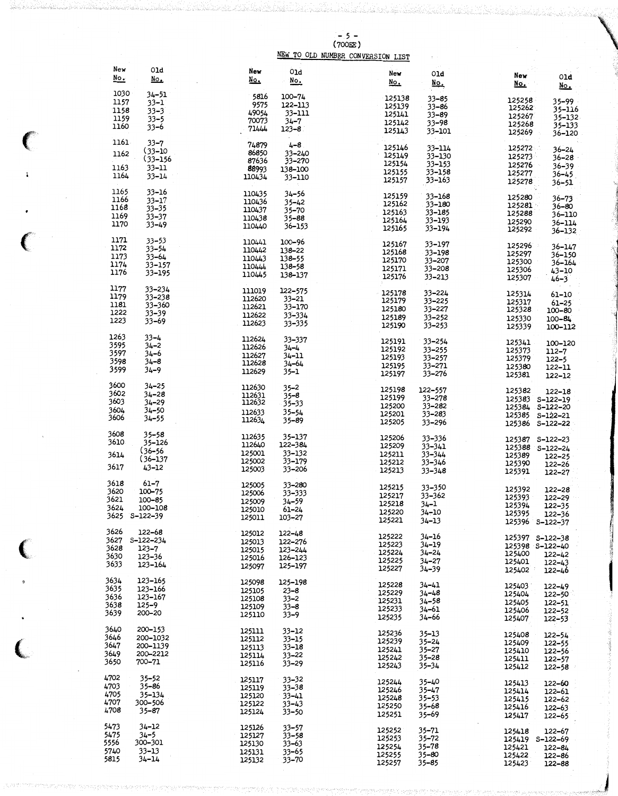$-5$  -<br>(700EE)<br>NEW TO OLD NUMBER CONVERSION LIST

| New<br><u>No.</u>                    | 01d<br>$\underline{\text{No}}$                                                       | New<br>$\underline{\text{No}}$ .               | 01d<br><u>No.</u>                                             | New<br>مطلا                                    | 01d<br><u>No.</u>                                          | New<br>$\underline{\text{No}}$ .               | 01d<br>No.                                                                         |
|--------------------------------------|--------------------------------------------------------------------------------------|------------------------------------------------|---------------------------------------------------------------|------------------------------------------------|------------------------------------------------------------|------------------------------------------------|------------------------------------------------------------------------------------|
| 1030<br>1157<br>1158<br>1159<br>1160 | 34-51<br>$33 - 1$<br>$33 - 3$<br>$33 - 5$<br>$33 - 6$                                | 5816<br>9575<br>49054<br>70073<br>71444        | 100-74<br>122-113<br>33-111<br>$34 - 7$<br>$123 - 8$          | 125138<br>125139<br>125141<br>125142<br>125143 | $33 - 85$<br>33-86<br>$33 - 89$<br>$33 - 98$<br>33-101     | 125258<br>125262<br>125267<br>125268<br>125269 | 35–99<br>35-116<br>$35 - 132$<br>35-133<br>36-120                                  |
| 1161<br>1162<br>1163<br>1164         | $33 - 7$<br>$(33 - 10)$<br>$(33 - 156)$<br>$33 - 11$<br>$33 - 14$                    | 74879<br>86850<br>87636<br>88993<br>110434     | $4 - 8$<br>33-240<br>33–270<br>138-100<br>33-110              | 125146<br>125149<br>125154<br>125155<br>125157 | 33-114<br>33-130<br>33–153<br>33-158<br>$33 - 163$         | 125272<br>125273<br>125276<br>125277<br>125278 | $36 - 24$<br>36–28<br>$36 - 39$<br>$36 - 45$ .<br>$36 - 51$                        |
| 1165<br>1166<br>1168<br>1169<br>1170 | $33 - 16$<br>$33 - 17$<br>$33 - 35$<br>$33 - 37$<br>$33 - 49$                        | 110435<br>110436<br>110437<br>110438<br>110440 | $34 - 56$<br>$35 - 42$<br>$35 - 70$<br>$35 - 88$<br>36–153    | 125159<br>125162<br>125163<br>125164<br>125165 | 33-168<br>33-180<br>33-185<br>33-193<br>33-194             | 125280<br>125281<br>125288<br>125290<br>125292 | $36 - 73$<br>$36 - 80$<br>36–110<br>36-114<br>36-132                               |
| 1171<br>1172<br>1173<br>1174<br>1176 | $33 - 53$<br>$33 - 54$<br>$33 - 64$<br>33-157<br>33-195                              | 110441<br>110442<br>110443<br>110444<br>110445 | 100-96<br>138-22<br>138-55<br>138-58<br>138-137               | 125167<br>125168<br>125170<br>125171<br>125176 | 33-197<br>33-198<br>33-207<br>$33 - 208$<br>33-213         | 125296<br>125297<br>125300<br>125306<br>125307 | 36-147<br>$36 - 150$<br>36-164<br>$43 - 10$<br>$46 - 3$                            |
| 1177<br>1179<br>1181<br>1222<br>1223 | $33 - 234$<br>$33 - 238$<br>33-360<br>$33 - 39$<br>$33 - 69$                         | 111019<br>112620<br>112621<br>112622<br>112623 | $122 - 575$<br>$33 - 21$<br>33-170<br>$33 - 334$<br>33–335    | 125178<br>125179<br>125180<br>125189<br>125190 | $33 - 224$<br>$33 - 225$<br>33-227<br>33–252<br>$33 - 253$ | 125314<br>125317<br>125328<br>125330<br>125339 | 61-10<br>$61 - 25$<br>100-80<br>$100 - 84$<br>100-112                              |
| 1263<br>3595<br>3597<br>3598<br>3599 | $33 - 4$<br>$34 - 2$<br>34–6<br>$34 - 8$<br>$34 - 9$                                 | 112624<br>112626<br>112627<br>112628<br>112629 | 33-337<br>34–4<br>34–11<br>34–64<br>35–1                      | 125191<br>125192<br>125193<br>125195<br>125197 | $33 - 254$<br>$33 - 255$<br>33-257<br>33-271<br>33-276     | 125341<br>125373<br>125379<br>125380<br>125381 | 100-120<br>112-7<br>$122 - 5$<br>122-11<br>122-12                                  |
| 3600<br>3602<br>3603<br>3604<br>3606 | $34 - 25$<br>$34 - 28$<br>$34 - 29$<br>$34 - 50$<br>34–55                            | 112630<br>112631<br>112632<br>112633<br>112634 | $35 - 2$<br>$35 - 8$<br>$35 - 33$<br>$35 - 54$<br>$35 - 89$   | 125198<br>125199<br>125200<br>125201<br>125205 | 122-557<br>33-278<br>33-282<br>33-283<br>$33 - 296$        | 125382                                         | 122-18<br>125383 S-122-19<br>125384 S-122-20<br>125385 S-122-21<br>125386 S-122-22 |
| 3608<br>3610<br>3614<br>3617         | $35 - 58$<br>35-126<br>$(36 - 56)$<br>$(36 - 137)$<br>$43 - 12$                      | 112635<br>112640<br>125001<br>125002<br>125003 | 35-137<br>122-384<br>33–132<br>33-179<br>33–206               | 125206<br>125209<br>125211<br>125212<br>125213 | 33-336<br>$33 - 341$<br>33-344<br>33-346<br>$33 - 348$     | 125387<br>125389<br>125390<br>125391           | $S-122-23$<br>125388 S-122-24<br>$122 - 25$<br>122-26<br>122-27                    |
| 3618<br>3620<br>3621<br>3624         | $61 - 7$<br>100-75<br>$100 - 85$<br>100-108<br>3625 S-122-39                         | 125005<br>125006<br>125009<br>125010<br>125011 | 33-280<br>33-333<br>34–59<br>61–24<br>$103 - 27$              | 125215<br>125217<br>125218<br>125220<br>125221 | 33-350<br>33-362<br>34–1<br>$34 - 10$<br>34–13             | 125392<br>125393<br>125394<br>125395           | 122-28<br>122-29<br>$122 - 35$<br>122-36<br>125396 S-122-37                        |
| 3626<br>3628<br>3630<br>3633         | 122-68<br>3627 S <del>-</del> 122 <del>-</del> 234<br>$123 - 7$<br>123-36<br>123–164 | 125012<br>125013<br>125015<br>125016<br>125097 | 122-48<br>122-276<br>123-244<br>126–123<br>125-197            | 125222<br>125223<br>125224<br>125225<br>125227 | 34-16<br>$34 - 19$<br>$34 - 24$<br>$34 - 27$<br>34–39      | 125400<br>125401<br>125402                     | 125397 S-122-38<br>125398 S-122-40<br>122-42<br>122-43<br>$122 - 46$               |
| 3634<br>3635<br>3636<br>3638<br>3639 | 123-165<br>123-166<br>123–167<br>$125 - 9$<br>200-20                                 | 125098<br>125105<br>125108<br>125109<br>125110 | 125-198<br>$23 - 8$<br>$33 - 2$<br>$33 - 8$<br>$33 - 9$       | 125228<br>125229<br>125231<br>125233<br>125235 | 34–41<br>$34 - 48$<br>$34 - 58$<br>34–61<br>34–66          | 125403<br>125404<br>125405<br>125406<br>125407 | $122 - 49$<br>122-50<br>$122 - 51$<br>$122 - 52$<br>122-53                         |
| 3640<br>3646<br>3647<br>3649<br>3650 | 200-153<br>200-1032<br>200-1139<br>200-2212<br>700-71                                | 125111<br>125112<br>125113<br>125114<br>125116 | $33 - 12$<br>$33 - 15$<br>$33 - 18$<br>$33 - 22$<br>$33 - 29$ | 125236<br>125239<br>125241<br>125242<br>125243 | 35–13<br>35–24<br>$35 - 27$<br>35–28<br>$35 - 34$          | 125408<br>125409<br>125410<br>125411<br>125412 | $122 - 54$<br>122-55<br>122–56<br>122-57<br>122–58                                 |
| 4702<br>4703<br>4705<br>4707<br>4708 | $35 - 52$<br>$35 - 86$<br>35-134<br>300-506<br>35–87                                 | 125117<br>125119<br>125120<br>125122<br>125124 | $33 - 32$<br>$33 - 38$<br>$33 - 41$<br>33–43<br>$33 - 50$     | 125244<br>125246<br>125248<br>125250<br>125251 | $35 - 40$<br>35–47<br>$35 - 53$<br>35–68<br>35–69          | 125413<br>125414<br>125415<br>125416<br>125417 | 122-60<br>122–61<br>122-62<br>122–63<br>122–65                                     |
| 5473<br>5475<br>5556<br>5740<br>5815 | 34–12<br>$34 - 5$<br>300-301<br>$33 - 13$<br>34-14                                   | 125126<br>125127<br>125130<br>125131<br>125132 | $33 - 57$<br>$33 - 58$<br>33–63<br>$33 - 65$<br>33-70         | 125252<br>125253<br>125254<br>125255<br>125257 | 35–71<br>35–72<br>$35 - 78$<br>35–80<br>35–85              | 125418<br>125421<br>125422<br>125423           | 122-67<br>125419 S-122-69<br>122-84<br>122-86<br>122-88                            |

 $\mathbf{I}$ 

 $\epsilon$ 

þ

 $\big($ 

 $\ell$